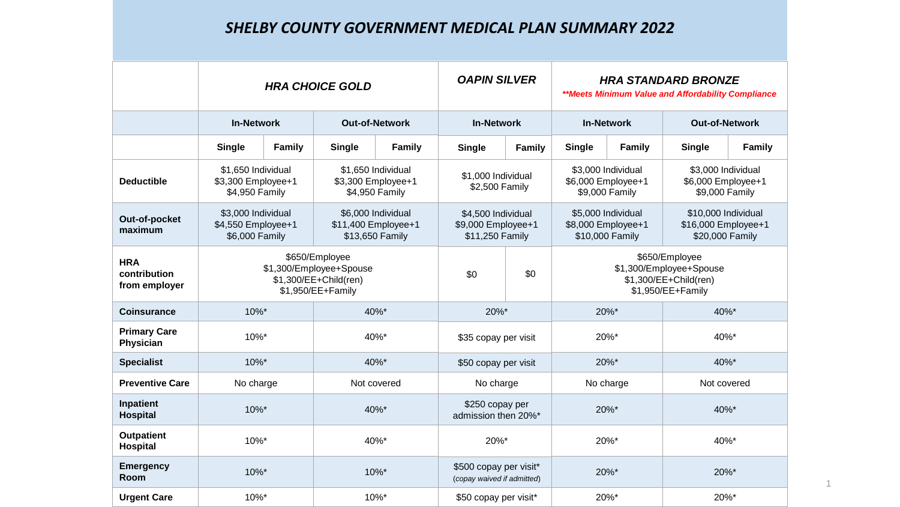## *SHELBY COUNTY GOVERNMENT MEDICAL PLAN SUMMARY 2022*

|                                             | <b>HRA CHOICE GOLD</b>                                                                  |               |                                                              | <b>OAPIN SILVER</b> |                                                             | <b>HRA STANDARD BRONZE</b><br>**Meets Minimum Value and Affordability Compliance        |                                                             |               |                                                               |               |
|---------------------------------------------|-----------------------------------------------------------------------------------------|---------------|--------------------------------------------------------------|---------------------|-------------------------------------------------------------|-----------------------------------------------------------------------------------------|-------------------------------------------------------------|---------------|---------------------------------------------------------------|---------------|
|                                             | <b>In-Network</b>                                                                       |               | <b>Out-of-Network</b>                                        |                     | <b>In-Network</b>                                           |                                                                                         | <b>In-Network</b>                                           |               | <b>Out-of-Network</b>                                         |               |
|                                             | <b>Single</b>                                                                           | <b>Family</b> | <b>Single</b>                                                | <b>Family</b>       | <b>Single</b>                                               | <b>Family</b>                                                                           | <b>Single</b>                                               | <b>Family</b> | <b>Single</b>                                                 | <b>Family</b> |
| <b>Deductible</b>                           | \$1,650 Individual<br>\$3,300 Employee+1<br>\$4,950 Family                              |               | \$1,650 Individual<br>\$3,300 Employee+1<br>\$4,950 Family   |                     | \$1,000 Individual<br>\$2,500 Family                        |                                                                                         | \$3,000 Individual<br>\$6,000 Employee+1<br>\$9,000 Family  |               | \$3,000 Individual<br>\$6,000 Employee+1<br>\$9,000 Family    |               |
| Out-of-pocket<br>maximum                    | \$3,000 Individual<br>\$4,550 Employee+1<br>\$6,000 Family                              |               | \$6,000 Individual<br>\$11,400 Employee+1<br>\$13,650 Family |                     | \$4,500 Individual<br>\$9,000 Employee+1<br>\$11,250 Family |                                                                                         | \$5,000 Individual<br>\$8,000 Employee+1<br>\$10,000 Family |               | \$10,000 Individual<br>\$16,000 Employee+1<br>\$20,000 Family |               |
| <b>HRA</b><br>contribution<br>from employer | \$650/Employee<br>\$1,300/Employee+Spouse<br>\$1,300/EE+Child(ren)<br>\$1,950/EE+Family |               |                                                              | \$0                 | \$0                                                         | \$650/Employee<br>\$1,300/Employee+Spouse<br>\$1,300/EE+Child(ren)<br>\$1,950/EE+Family |                                                             |               |                                                               |               |
| <b>Coinsurance</b>                          | 10%*                                                                                    |               | 40%*                                                         |                     | 20%*                                                        |                                                                                         | 20%*                                                        |               | 40%*                                                          |               |
| <b>Primary Care</b><br>Physician            | 10%*                                                                                    |               | 40%*                                                         |                     | \$35 copay per visit                                        |                                                                                         | 20%*                                                        |               | 40%*                                                          |               |
| <b>Specialist</b>                           | 10%*                                                                                    |               |                                                              | 40%*                | \$50 copay per visit                                        |                                                                                         | 20%*                                                        |               | 40%*                                                          |               |
| <b>Preventive Care</b>                      | No charge<br>Not covered                                                                |               | No charge                                                    |                     | No charge                                                   |                                                                                         | Not covered                                                 |               |                                                               |               |
| Inpatient<br><b>Hospital</b>                | 10%*                                                                                    |               | 40%*                                                         |                     | \$250 copay per<br>admission then 20%*                      |                                                                                         | 20%*                                                        |               | 40%*                                                          |               |
| <b>Outpatient</b><br><b>Hospital</b>        | 10%*                                                                                    |               | 40%*                                                         |                     | 20%*                                                        |                                                                                         | 20%*                                                        |               | 40%*                                                          |               |
| <b>Emergency</b><br>Room                    | 10%*                                                                                    |               | 10%*                                                         |                     | \$500 copay per visit*<br>(copay waived if admitted)        |                                                                                         | 20%*                                                        |               | 20%*                                                          |               |
| <b>Urgent Care</b>                          | 10%*                                                                                    |               |                                                              | 10%*                | \$50 copay per visit*                                       |                                                                                         | 20%*<br>20%*                                                |               |                                                               |               |

1